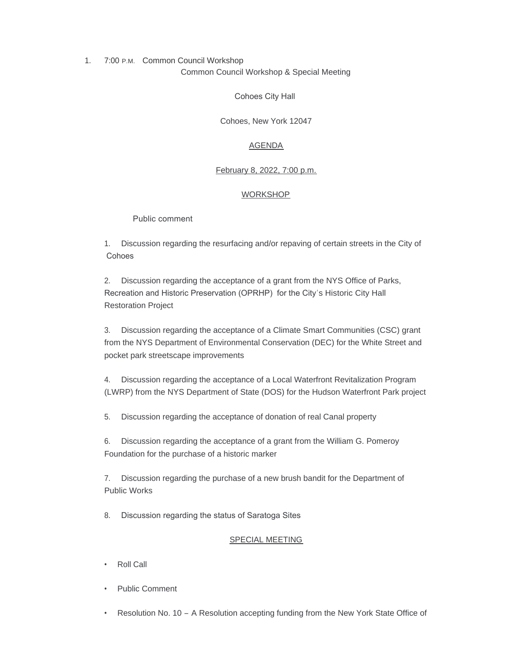1. 7:00 P.M. Common Council Workshop Common Council Workshop & Special Meeting

Cohoes City Hall

Cohoes, New York 12047

# AGENDA

# February 8, 2022, 7:00 p.m.

## WORKSHOP

## Public comment

1. Discussion regarding the resurfacing and/or repaving of certain streets in the City of **Cohoes** 

2. Discussion regarding the acceptance of a grant from the NYS Office of Parks, Recreation and Historic Preservation (OPRHP) for the City's Historic City Hall Restoration Project

3. Discussion regarding the acceptance of a Climate Smart Communities (CSC) grant from the NYS Department of Environmental Conservation (DEC) for the White Street and pocket park streetscape improvements

4. Discussion regarding the acceptance of a Local Waterfront Revitalization Program (LWRP) from the NYS Department of State (DOS) for the Hudson Waterfront Park project

5. Discussion regarding the acceptance of donation of real Canal property

6. Discussion regarding the acceptance of a grant from the William G. Pomeroy Foundation for the purchase of a historic marker

7. Discussion regarding the purchase of a new brush bandit for the Department of Public Works

8. Discussion regarding the status of Saratoga Sites

## SPECIAL MEETING

- Roll Call
- Public Comment
- Resolution No. 10 A Resolution accepting funding from the New York State Office of